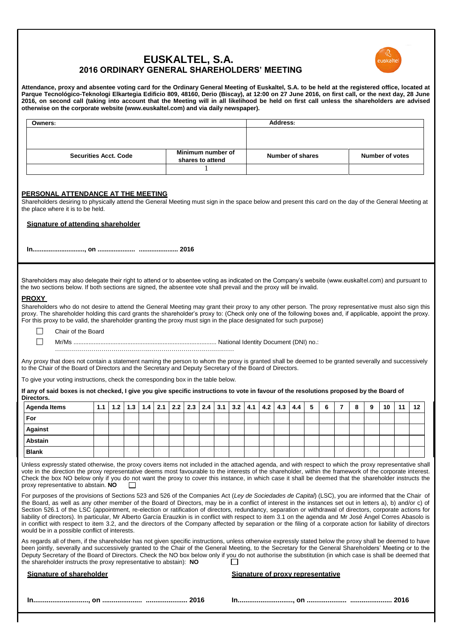# **EUSKALTEL, S.A. 2016 ORDINARY GENERAL SHAREHOLDERS' MEETING**



**Attendance, proxy and absentee voting card for the Ordinary General Meeting of Euskaltel, S.A. to be held at the registered office, located at Parque Tecnológico-Teknologi Elkartegia Edificio 809, 48160, Derio (Biscay), at 12:00 on 27 June 2016, on first call, or the next day, 28 June 2016, on second call (taking into account that the Meeting will in all likelihood be held on first call unless the shareholders are advised otherwise on the corporate website (www.euskaltel.com) and via daily newspaper).**

| Owners:                                                                                                                                                                                                                                                                                                                                                                                                                                                                                                                                                                                                                                                                                                                                                                                                                                                          |                              |     |     |                                       |     |     |     |                                   |                         |     |     |     | Address: |     |   |                        |                |   |   |    |    |    |
|------------------------------------------------------------------------------------------------------------------------------------------------------------------------------------------------------------------------------------------------------------------------------------------------------------------------------------------------------------------------------------------------------------------------------------------------------------------------------------------------------------------------------------------------------------------------------------------------------------------------------------------------------------------------------------------------------------------------------------------------------------------------------------------------------------------------------------------------------------------|------------------------------|-----|-----|---------------------------------------|-----|-----|-----|-----------------------------------|-------------------------|-----|-----|-----|----------|-----|---|------------------------|----------------|---|---|----|----|----|
|                                                                                                                                                                                                                                                                                                                                                                                                                                                                                                                                                                                                                                                                                                                                                                                                                                                                  |                              |     |     |                                       |     |     |     |                                   |                         |     |     |     |          |     |   |                        |                |   |   |    |    |    |
|                                                                                                                                                                                                                                                                                                                                                                                                                                                                                                                                                                                                                                                                                                                                                                                                                                                                  |                              |     |     |                                       |     |     |     |                                   |                         |     |     |     |          |     |   |                        |                |   |   |    |    |    |
|                                                                                                                                                                                                                                                                                                                                                                                                                                                                                                                                                                                                                                                                                                                                                                                                                                                                  | <b>Securities Acct. Code</b> |     |     | Minimum number of<br>shares to attend |     |     |     |                                   | <b>Number of shares</b> |     |     |     |          |     |   | <b>Number of votes</b> |                |   |   |    |    |    |
|                                                                                                                                                                                                                                                                                                                                                                                                                                                                                                                                                                                                                                                                                                                                                                                                                                                                  |                              |     |     |                                       |     |     |     | 1                                 |                         |     |     |     |          |     |   |                        |                |   |   |    |    |    |
|                                                                                                                                                                                                                                                                                                                                                                                                                                                                                                                                                                                                                                                                                                                                                                                                                                                                  |                              |     |     |                                       |     |     |     |                                   |                         |     |     |     |          |     |   |                        |                |   |   |    |    |    |
| PERSONAL ATTENDANCE AT THE MEETING<br>Shareholders desiring to physically attend the General Meeting must sign in the space below and present this card on the day of the General Meeting at<br>the place where it is to be held.                                                                                                                                                                                                                                                                                                                                                                                                                                                                                                                                                                                                                                |                              |     |     |                                       |     |     |     |                                   |                         |     |     |     |          |     |   |                        |                |   |   |    |    |    |
| Signature of attending shareholder                                                                                                                                                                                                                                                                                                                                                                                                                                                                                                                                                                                                                                                                                                                                                                                                                               |                              |     |     |                                       |     |     |     |                                   |                         |     |     |     |          |     |   |                        |                |   |   |    |    |    |
|                                                                                                                                                                                                                                                                                                                                                                                                                                                                                                                                                                                                                                                                                                                                                                                                                                                                  |                              |     |     |                                       |     |     |     |                                   |                         |     |     |     |          |     |   |                        |                |   |   |    |    |    |
|                                                                                                                                                                                                                                                                                                                                                                                                                                                                                                                                                                                                                                                                                                                                                                                                                                                                  |                              |     |     |                                       |     |     |     |                                   |                         |     |     |     |          |     |   |                        |                |   |   |    |    |    |
| Shareholders may also delegate their right to attend or to absentee voting as indicated on the Company's website (www.euskaltel.com) and pursuant to<br>the two sections below. If both sections are signed, the absentee vote shall prevail and the proxy will be invalid.                                                                                                                                                                                                                                                                                                                                                                                                                                                                                                                                                                                      |                              |     |     |                                       |     |     |     |                                   |                         |     |     |     |          |     |   |                        |                |   |   |    |    |    |
| <b>PROXY</b>                                                                                                                                                                                                                                                                                                                                                                                                                                                                                                                                                                                                                                                                                                                                                                                                                                                     |                              |     |     |                                       |     |     |     |                                   |                         |     |     |     |          |     |   |                        |                |   |   |    |    |    |
| Shareholders who do not desire to attend the General Meeting may grant their proxy to any other person. The proxy representative must also sign this<br>proxy. The shareholder holding this card grants the shareholder's proxy to: (Check only one of the following boxes and, if applicable, appoint the proxy.<br>For this proxy to be valid, the shareholder granting the proxy must sign in the place designated for such purpose)                                                                                                                                                                                                                                                                                                                                                                                                                          |                              |     |     |                                       |     |     |     |                                   |                         |     |     |     |          |     |   |                        |                |   |   |    |    |    |
| Chair of the Board                                                                                                                                                                                                                                                                                                                                                                                                                                                                                                                                                                                                                                                                                                                                                                                                                                               |                              |     |     |                                       |     |     |     |                                   |                         |     |     |     |          |     |   |                        |                |   |   |    |    |    |
|                                                                                                                                                                                                                                                                                                                                                                                                                                                                                                                                                                                                                                                                                                                                                                                                                                                                  |                              |     |     |                                       |     |     |     |                                   |                         |     |     |     |          |     |   |                        |                |   |   |    |    |    |
|                                                                                                                                                                                                                                                                                                                                                                                                                                                                                                                                                                                                                                                                                                                                                                                                                                                                  |                              |     |     |                                       |     |     |     |                                   |                         |     |     |     |          |     |   |                        |                |   |   |    |    |    |
| Any proxy that does not contain a statement naming the person to whom the proxy is granted shall be deemed to be granted severally and successively<br>to the Chair of the Board of Directors and the Secretary and Deputy Secretary of the Board of Directors.<br>To give your voting instructions, check the corresponding box in the table below.                                                                                                                                                                                                                                                                                                                                                                                                                                                                                                             |                              |     |     |                                       |     |     |     |                                   |                         |     |     |     |          |     |   |                        |                |   |   |    |    |    |
| If any of said boxes is not checked, I give you give specific instructions to vote in favour of the resolutions proposed by the Board of<br>Directors.                                                                                                                                                                                                                                                                                                                                                                                                                                                                                                                                                                                                                                                                                                           |                              |     |     |                                       |     |     |     |                                   |                         |     |     |     |          |     |   |                        |                |   |   |    |    |    |
| Agenda Items                                                                                                                                                                                                                                                                                                                                                                                                                                                                                                                                                                                                                                                                                                                                                                                                                                                     | 1.1                          | 1.2 | 1.3 | 1.4                                   | 2.1 | 2.2 | 2.3 | 2.4                               | 3.1                     | 3.2 | 4.1 | 4.2 | 4.3      | 4.4 | 5 | 6                      | $\overline{7}$ | 8 | 9 | 10 | 11 | 12 |
| For                                                                                                                                                                                                                                                                                                                                                                                                                                                                                                                                                                                                                                                                                                                                                                                                                                                              |                              |     |     |                                       |     |     |     |                                   |                         |     |     |     |          |     |   |                        |                |   |   |    |    |    |
| <b>Against</b>                                                                                                                                                                                                                                                                                                                                                                                                                                                                                                                                                                                                                                                                                                                                                                                                                                                   |                              |     |     |                                       |     |     |     |                                   |                         |     |     |     |          |     |   |                        |                |   |   |    |    |    |
| <b>Abstain</b>                                                                                                                                                                                                                                                                                                                                                                                                                                                                                                                                                                                                                                                                                                                                                                                                                                                   |                              |     |     |                                       |     |     |     |                                   |                         |     |     |     |          |     |   |                        |                |   |   |    |    |    |
| <b>Blank</b>                                                                                                                                                                                                                                                                                                                                                                                                                                                                                                                                                                                                                                                                                                                                                                                                                                                     |                              |     |     |                                       |     |     |     |                                   |                         |     |     |     |          |     |   |                        |                |   |   |    |    |    |
| Unless expressly stated otherwise, the proxy covers items not included in the attached agenda, and with respect to which the proxy representative shall<br>vote in the direction the proxy representative deems most favourable to the interests of the shareholder, within the framework of the corporate interest.<br>Check the box NO below only if you do not want the proxy to cover this instance, in which case it shall be deemed that the shareholder instructs the<br>proxy representative to abstain. NO                                                                                                                                                                                                                                                                                                                                              |                              |     |     |                                       |     |     |     |                                   |                         |     |     |     |          |     |   |                        |                |   |   |    |    |    |
| For purposes of the provisions of Sections 523 and 526 of the Companies Act (Ley de Sociedades de Capital) (LSC), you are informed that the Chair of<br>the Board, as well as any other member of the Board of Directors, may be in a conflict of interest in the instances set out in letters a), b) and/or c) of<br>Section 526.1 of the LSC (appointment, re-election or ratification of directors, redundancy, separation or withdrawal of directors, corporate actions for<br>liability of directors). In particular, Mr Alberto García Erauzkin is in conflict with respect to item 3.1 on the agenda and Mr José Angel Corres Abasolo is<br>in conflict with respect to item 3.2, and the directors of the Company affected by separation or the filing of a corporate action for liability of directors<br>would be in a possible conflict of interests. |                              |     |     |                                       |     |     |     |                                   |                         |     |     |     |          |     |   |                        |                |   |   |    |    |    |
| As regards all of them, if the shareholder has not given specific instructions, unless otherwise expressly stated below the proxy shall be deemed to have<br>been jointly, severally and successively granted to the Chair of the General Meeting, to the Secretary for the General Shareholders' Meeting or to the<br>Deputy Secretary of the Board of Directors. Check the NO box below only if you do not authorise the substitution (in which case is shall be deemed that<br>the shareholder instructs the proxy representative to abstain): NO                                                                                                                                                                                                                                                                                                             |                              |     |     |                                       |     |     |     |                                   |                         |     |     |     |          |     |   |                        |                |   |   |    |    |    |
| <b>Signature of shareholder</b>                                                                                                                                                                                                                                                                                                                                                                                                                                                                                                                                                                                                                                                                                                                                                                                                                                  |                              |     |     |                                       |     |     |     | Signature of proxy representative |                         |     |     |     |          |     |   |                        |                |   |   |    |    |    |
|                                                                                                                                                                                                                                                                                                                                                                                                                                                                                                                                                                                                                                                                                                                                                                                                                                                                  |                              |     |     |                                       |     |     |     |                                   |                         |     |     |     |          |     |   |                        |                |   |   |    |    |    |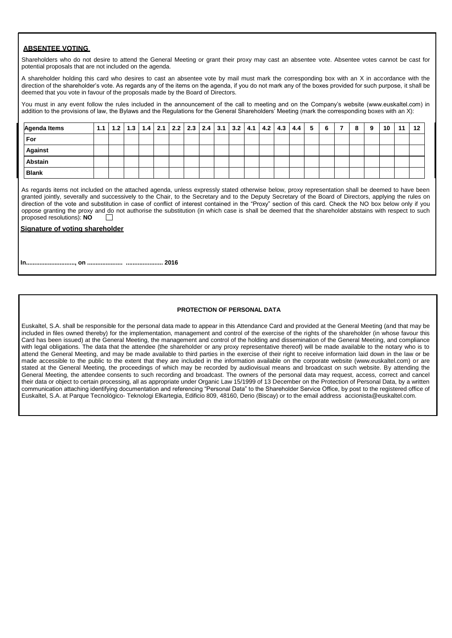# **ABSENTEE VOTING**

Shareholders who do not desire to attend the General Meeting or grant their proxy may cast an absentee vote. Absentee votes cannot be cast for potential proposals that are not included on the agenda.

A shareholder holding this card who desires to cast an absentee vote by mail must mark the corresponding box with an X in accordance with the direction of the shareholder's vote. As regards any of the items on the agenda, if you do not mark any of the boxes provided for such purpose, it shall be deemed that you vote in favour of the proposals made by the Board of Directors.

You must in any event follow the rules included in the announcement of the call to meeting and on the Company's website (www.euskaltel.com) in addition to the provisions of law, the Bylaws and the Regulations for the General Shareholders' Meeting (mark the corresponding boxes with an X):

| Agenda Items   |  |  | 1.1   1.2   1.3   1.4   2.1   2.2   2.3   2.4   3.1   3.2   4.1   4.2   4.3   4.4   5 |  |  |  |  | 6 | -8 | 9 | 10 | 11 | 12 |
|----------------|--|--|---------------------------------------------------------------------------------------|--|--|--|--|---|----|---|----|----|----|
| For            |  |  |                                                                                       |  |  |  |  |   |    |   |    |    |    |
| <b>Against</b> |  |  |                                                                                       |  |  |  |  |   |    |   |    |    |    |
| <b>Abstain</b> |  |  |                                                                                       |  |  |  |  |   |    |   |    |    |    |
| <b>Blank</b>   |  |  |                                                                                       |  |  |  |  |   |    |   |    |    |    |

As regards items not included on the attached agenda, unless expressly stated otherwise below, proxy representation shall be deemed to have been granted jointly, severally and successively to the Chair, to the Secretary and to the Deputy Secretary of the Board of Directors, applying the rules on direction of the vote and substitution in case of conflict of interest contained in the "Proxy" section of this card. Check the NO box below only if you oppose granting the proxy and do not authorise the substitution (in which case is shall be deemed that the shareholder abstains with respect to such proposed resolutions): **NO**

### **Signature of voting shareholder**

**In............................., on ..................... ...................... 2016**

### **PROTECTION OF PERSONAL DATA**

Euskaltel, S.A. shall be responsible for the personal data made to appear in this Attendance Card and provided at the General Meeting (and that may be included in files owned thereby) for the implementation, management and control of the exercise of the rights of the shareholder (in whose favour this Card has been issued) at the General Meeting, the management and control of the holding and dissemination of the General Meeting, and compliance with legal obligations. The data that the attendee (the shareholder or any proxy representative thereof) will be made available to the notary who is to attend the General Meeting, and may be made available to third parties in the exercise of their right to receive information laid down in the law or be made accessible to the public to the extent that they are included in the information available on the corporate website (www.euskaltel.com) or are stated at the General Meeting, the proceedings of which may be recorded by audiovisual means and broadcast on such website. By attending the General Meeting, the attendee consents to such recording and broadcast. The owners of the personal data may request, access, correct and cancel their data or object to certain processing, all as appropriate under Organic Law 15/1999 of 13 December on the Protection of Personal Data, by a written communication attaching identifying documentation and referencing "Personal Data" to the Shareholder Service Office, by post to the registered office of Euskaltel, S.A. at Parque Tecnológico- Teknologi Elkartegia, Edificio 809, 48160, Derio (Biscay) or to the email address [accionista@euskaltel.com.](mailto:accionista@euskaltel.com)